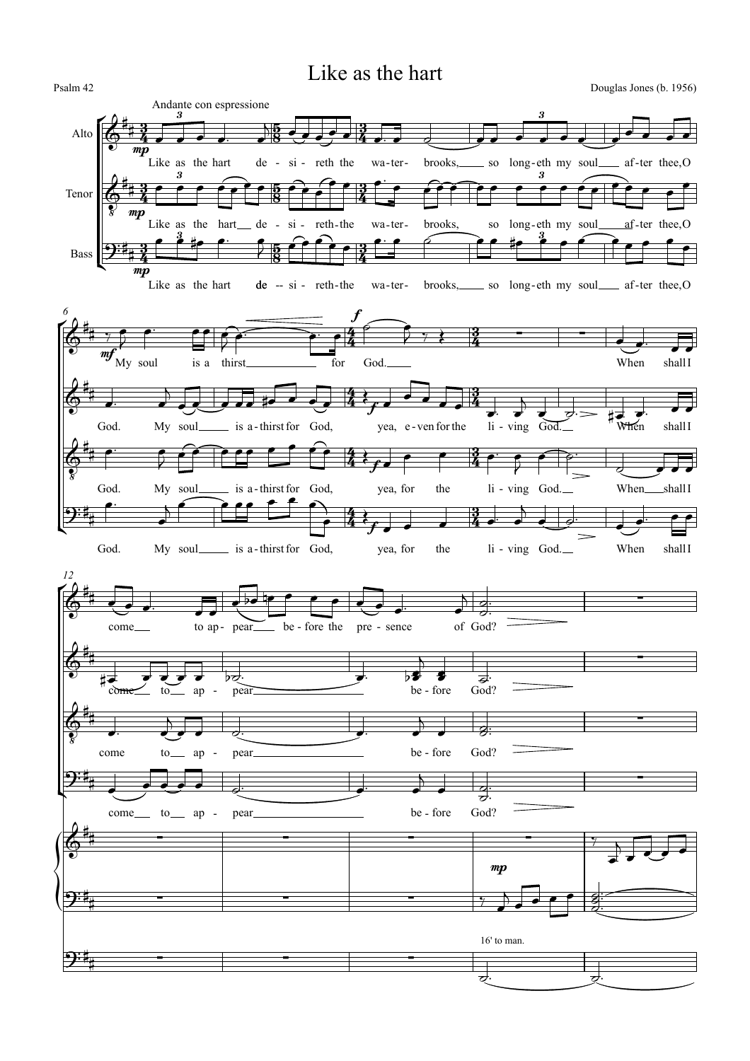## Like as the hart

Douglas Jones (b. 1956)

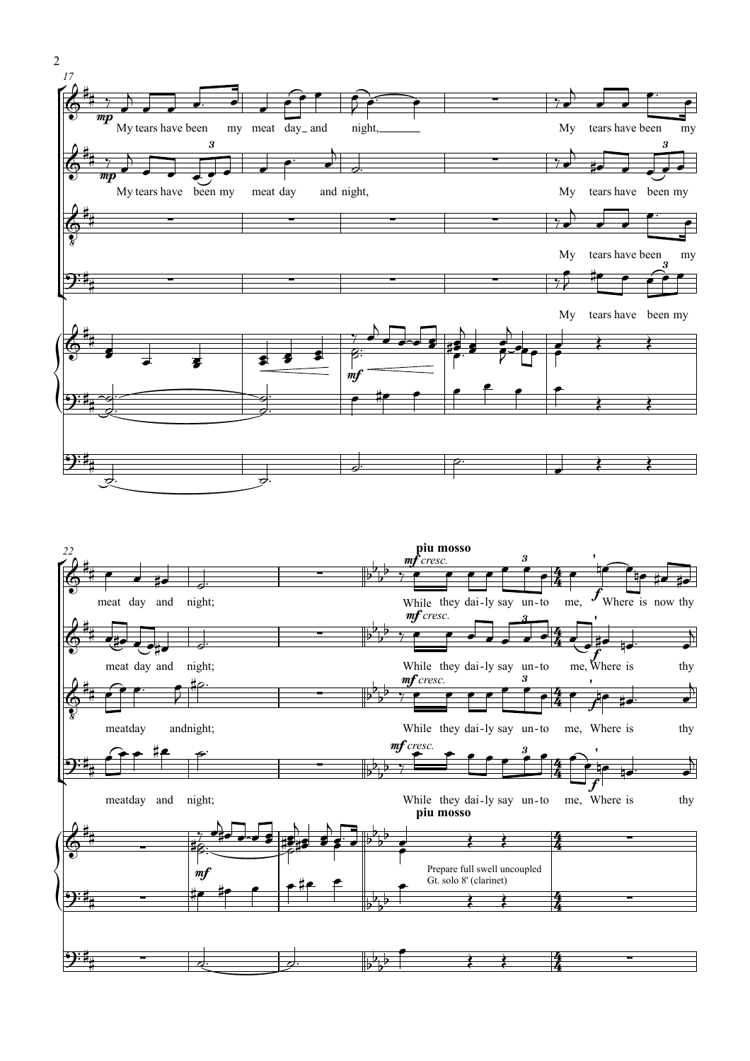

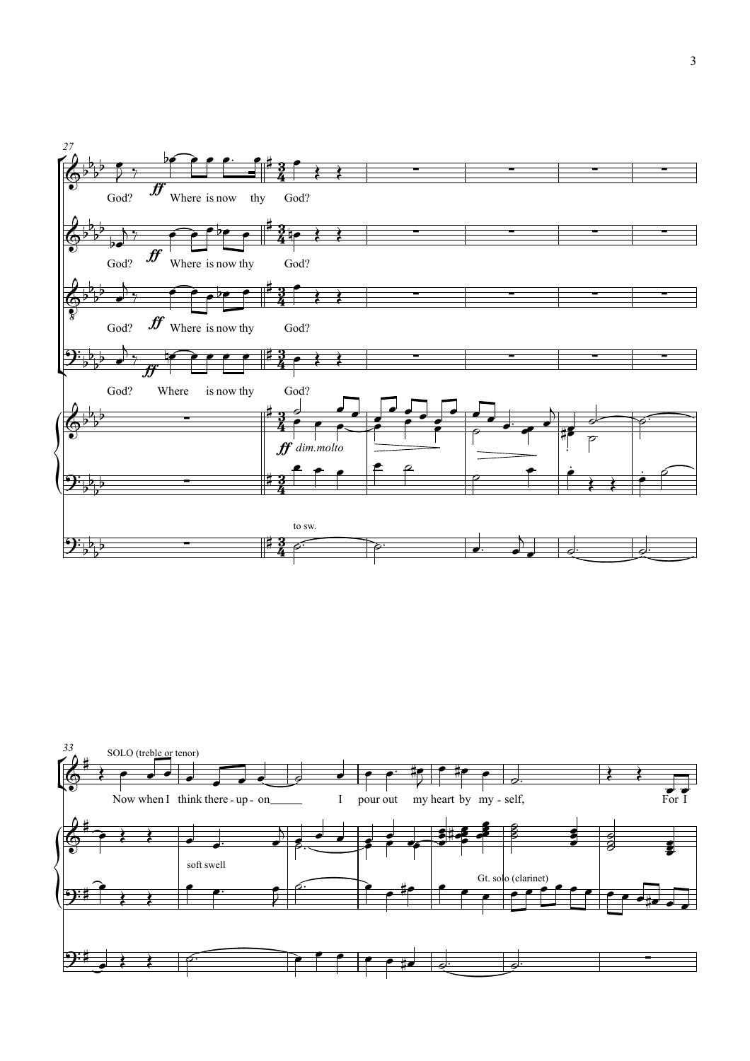

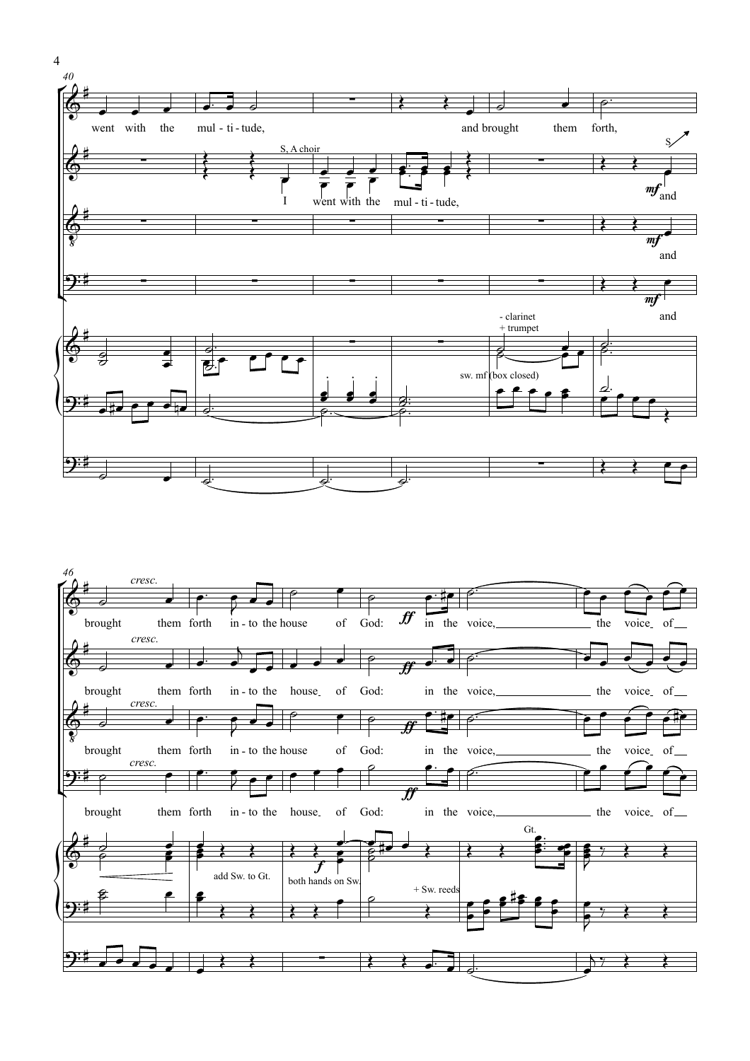



 $\overline{4}$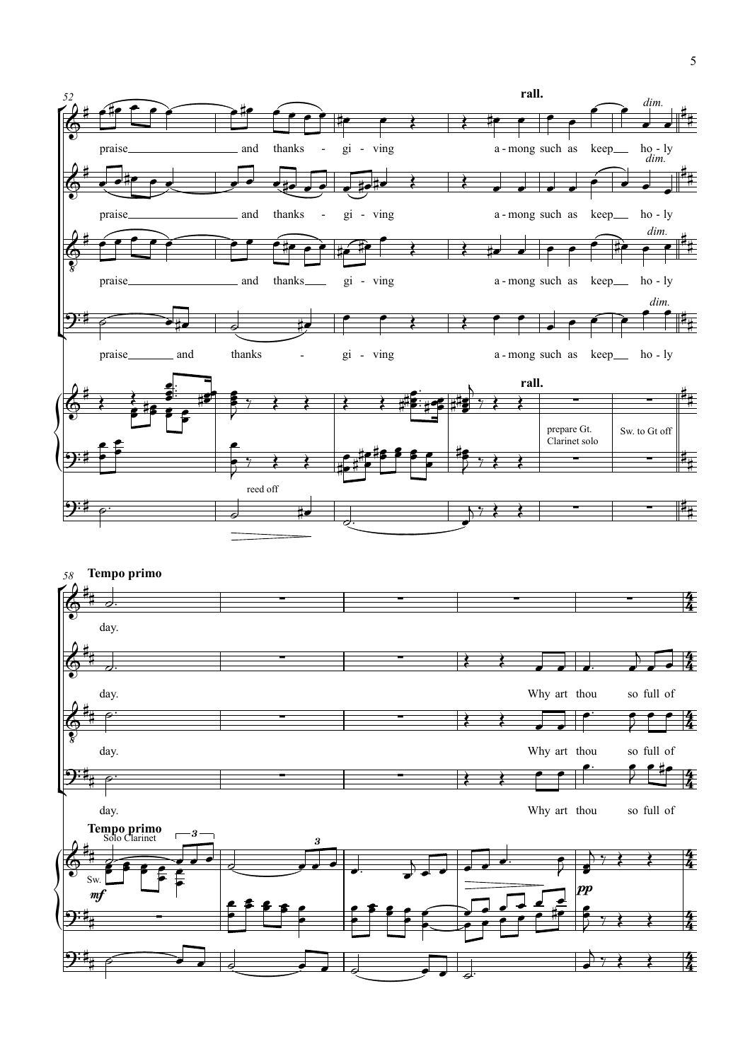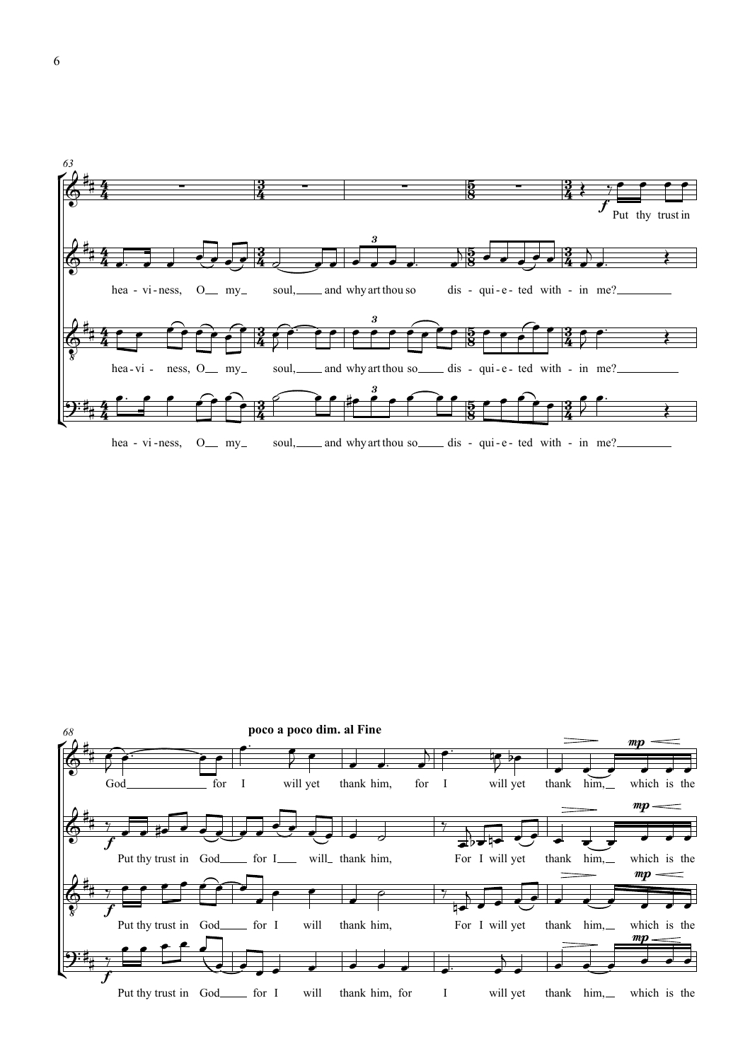